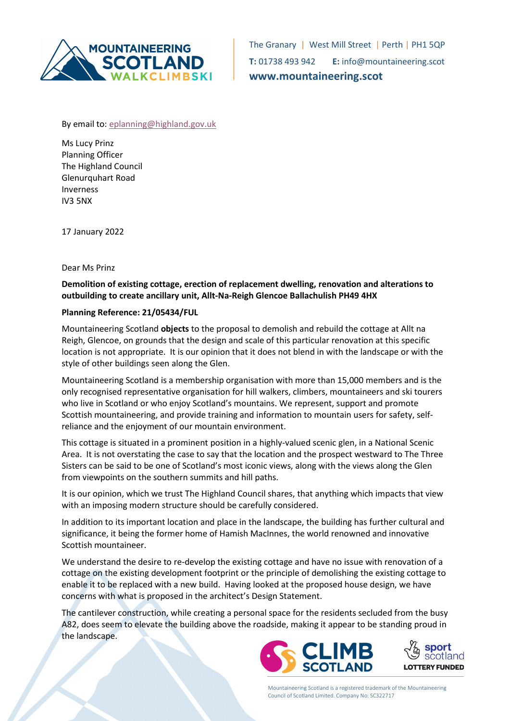

The Granary | West Mill Street | Perth | PH1 5QP T: 01738 493 942 E: info@mountaineering.scot www.mountaineering.scot

By email to: eplanning@highland.gov.uk

Ms Lucy Prinz Planning Officer The Highland Council Glenurquhart Road Inverness IV3 5NX

17 January 2022

Dear Ms Prinz

Demolition of existing cottage, erection of replacement dwelling, renovation and alterations to outbuilding to create ancillary unit, Allt-Na-Reigh Glencoe Ballachulish PH49 4HX

## Planning Reference: 21/05434/FUL

Mountaineering Scotland **objects** to the proposal to demolish and rebuild the cottage at Allt na Reigh, Glencoe, on grounds that the design and scale of this particular renovation at this specific location is not appropriate. It is our opinion that it does not blend in with the landscape or with the style of other buildings seen along the Glen.

Mountaineering Scotland is a membership organisation with more than 15,000 members and is the only recognised representative organisation for hill walkers, climbers, mountaineers and ski tourers who live in Scotland or who enjoy Scotland's mountains. We represent, support and promote Scottish mountaineering, and provide training and information to mountain users for safety, selfreliance and the enjoyment of our mountain environment.

This cottage is situated in a prominent position in a highly-valued scenic glen, in a National Scenic Area. It is not overstating the case to say that the location and the prospect westward to The Three Sisters can be said to be one of Scotland's most iconic views, along with the views along the Glen from viewpoints on the southern summits and hill paths.

It is our opinion, which we trust The Highland Council shares, that anything which impacts that view with an imposing modern structure should be carefully considered.

In addition to its important location and place in the landscape, the building has further cultural and significance, it being the former home of Hamish MacInnes, the world renowned and innovative Scottish mountaineer.

We understand the desire to re-develop the existing cottage and have no issue with renovation of a cottage on the existing development footprint or the principle of demolishing the existing cottage to enable it to be replaced with a new build. Having looked at the proposed house design, we have concerns with what is proposed in the architect's Design Statement.

The cantilever construction, while creating a personal space for the residents secluded from the busy A82, does seem to elevate the building above the roadside, making it appear to be standing proud in the landscape.





Mountaineering Scotland is a registered trademark of the Mountaineering Council of Scotland Limited. Company No: SC322717